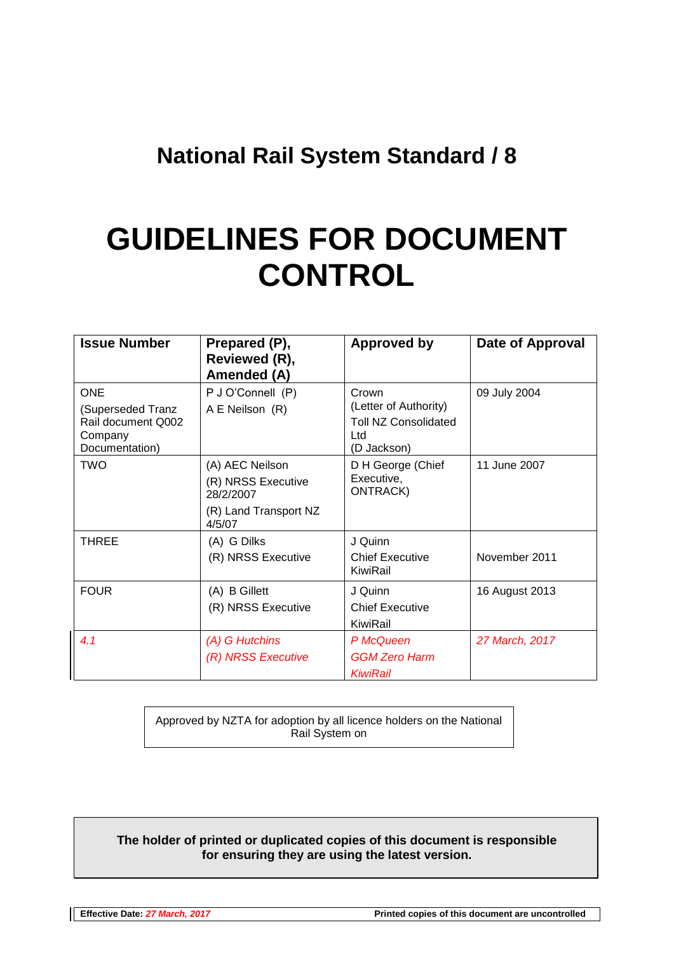# **National Rail System Standard / 8**

# **GUIDELINES FOR DOCUMENT CONTROL**

| <b>Issue Number</b>                                                                | Prepared (P),<br>Reviewed (R),<br><b>Amended (A)</b>                                  | <b>Approved by</b>                                                                  | Date of Approval |
|------------------------------------------------------------------------------------|---------------------------------------------------------------------------------------|-------------------------------------------------------------------------------------|------------------|
| <b>ONE</b><br>(Superseded Tranz<br>Rail document Q002<br>Company<br>Documentation) | P J O'Connell (P)<br>A E Neilson (R)                                                  | Crown<br>(Letter of Authority)<br><b>Toll NZ Consolidated</b><br>Ltd<br>(D Jackson) | 09 July 2004     |
| TWO                                                                                | (A) AEC Neilson<br>(R) NRSS Executive<br>28/2/2007<br>(R) Land Transport NZ<br>4/5/07 | D H George (Chief<br>Executive,<br><b>ONTRACK)</b>                                  | 11 June 2007     |
| <b>THREE</b>                                                                       | (A) G Dilks<br>(R) NRSS Executive                                                     | J Quinn<br><b>Chief Executive</b><br>KiwiRail                                       | November 2011    |
| <b>FOUR</b>                                                                        | (A) B Gillett<br>(R) NRSS Executive                                                   | J Quinn<br><b>Chief Executive</b><br>KiwiRail                                       | 16 August 2013   |
| 4.1                                                                                | (A) G Hutchins<br>(R) NRSS Executive                                                  | P McQueen<br><b>GGM Zero Harm</b><br>KiwiRail                                       | 27 March, 2017   |

Approved by NZTA for adoption by all licence holders on the National Rail System on

#### **The holder of printed or duplicated copies of this document is responsible for ensuring they are using the latest version.**

**Effective Date:** *27 March, 2017* **Printed copies of this document are uncontrolled**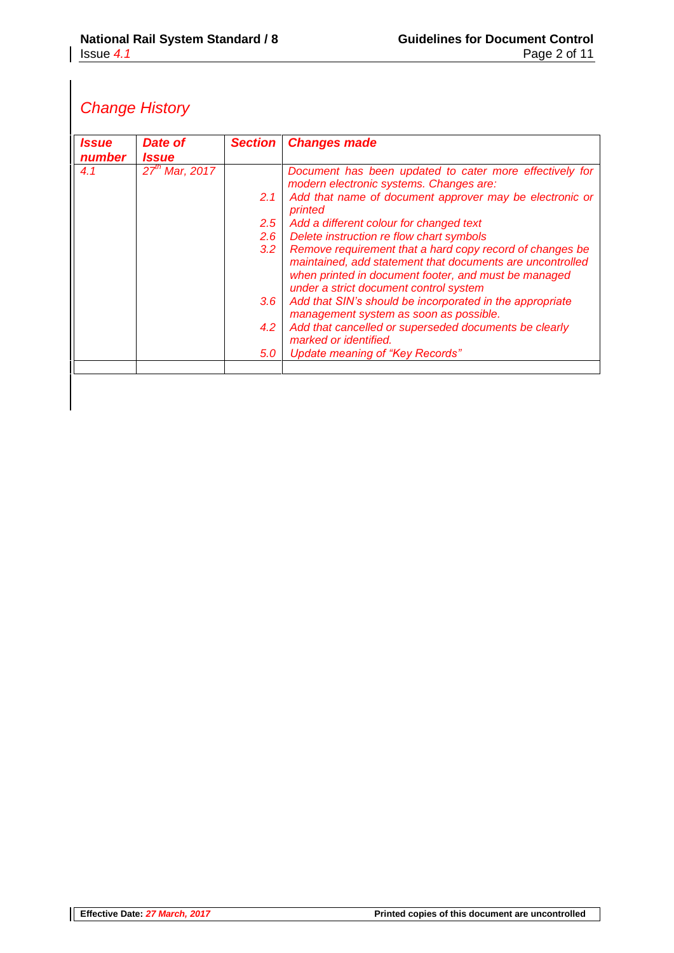# *Change History*

| <i><b>Issue</b></i><br>number | Date of<br><i><u><b>Issue</b></u></i> | <b>Section</b>                                                                                     | <b>Changes made</b>                                                                                                                                                                                                     |
|-------------------------------|---------------------------------------|----------------------------------------------------------------------------------------------------|-------------------------------------------------------------------------------------------------------------------------------------------------------------------------------------------------------------------------|
| 4.1                           | $27th$ Mar, 2017                      | Document has been updated to cater more effectively for<br>modern electronic systems. Changes are: |                                                                                                                                                                                                                         |
|                               |                                       | 2.1                                                                                                | Add that name of document approver may be electronic or<br>printed                                                                                                                                                      |
|                               |                                       | 2.5                                                                                                | Add a different colour for changed text                                                                                                                                                                                 |
|                               |                                       | $2.6^{\circ}$                                                                                      | Delete instruction re flow chart symbols                                                                                                                                                                                |
|                               |                                       | 3.2                                                                                                | Remove requirement that a hard copy record of changes be<br>maintained, add statement that documents are uncontrolled<br>when printed in document footer, and must be managed<br>under a strict document control system |
|                               |                                       | $3.6^{\circ}$                                                                                      | Add that SIN's should be incorporated in the appropriate<br>management system as soon as possible.                                                                                                                      |
|                               |                                       | 4.2                                                                                                | Add that cancelled or superseded documents be clearly<br>marked or identified.                                                                                                                                          |
|                               |                                       | 5.0                                                                                                | Update meaning of "Key Records"                                                                                                                                                                                         |
|                               |                                       |                                                                                                    |                                                                                                                                                                                                                         |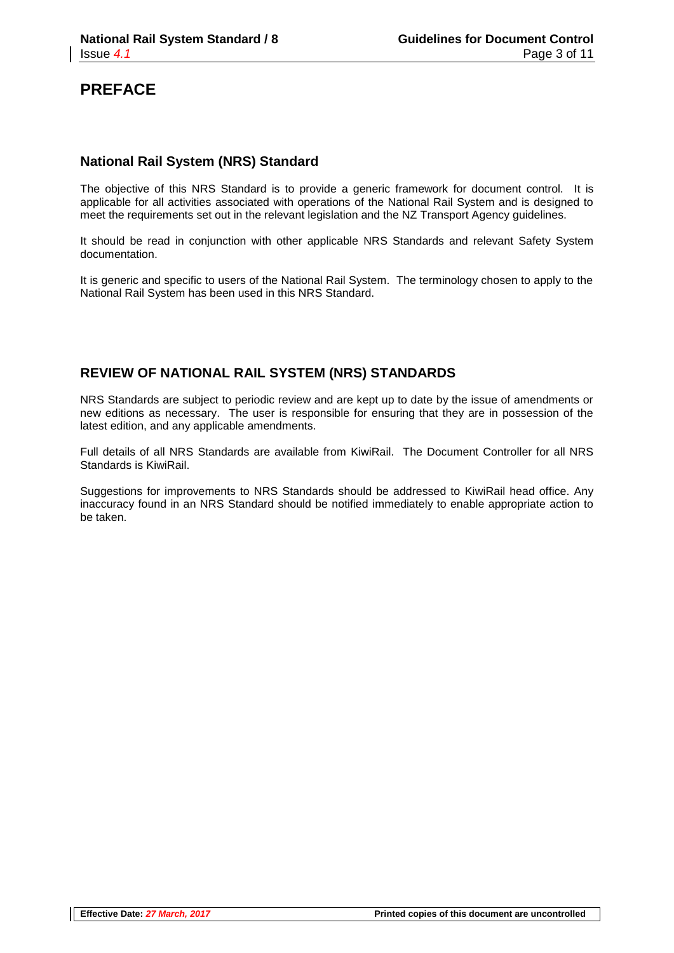### **PREFACE**

#### **National Rail System (NRS) Standard**

The objective of this NRS Standard is to provide a generic framework for document control. It is applicable for all activities associated with operations of the National Rail System and is designed to meet the requirements set out in the relevant legislation and the NZ Transport Agency guidelines.

It should be read in conjunction with other applicable NRS Standards and relevant Safety System documentation.

It is generic and specific to users of the National Rail System. The terminology chosen to apply to the National Rail System has been used in this NRS Standard.

#### **REVIEW OF NATIONAL RAIL SYSTEM (NRS) STANDARDS**

NRS Standards are subject to periodic review and are kept up to date by the issue of amendments or new editions as necessary. The user is responsible for ensuring that they are in possession of the latest edition, and any applicable amendments.

Full details of all NRS Standards are available from KiwiRail. The Document Controller for all NRS Standards is KiwiRail.

Suggestions for improvements to NRS Standards should be addressed to KiwiRail head office. Any inaccuracy found in an NRS Standard should be notified immediately to enable appropriate action to be taken.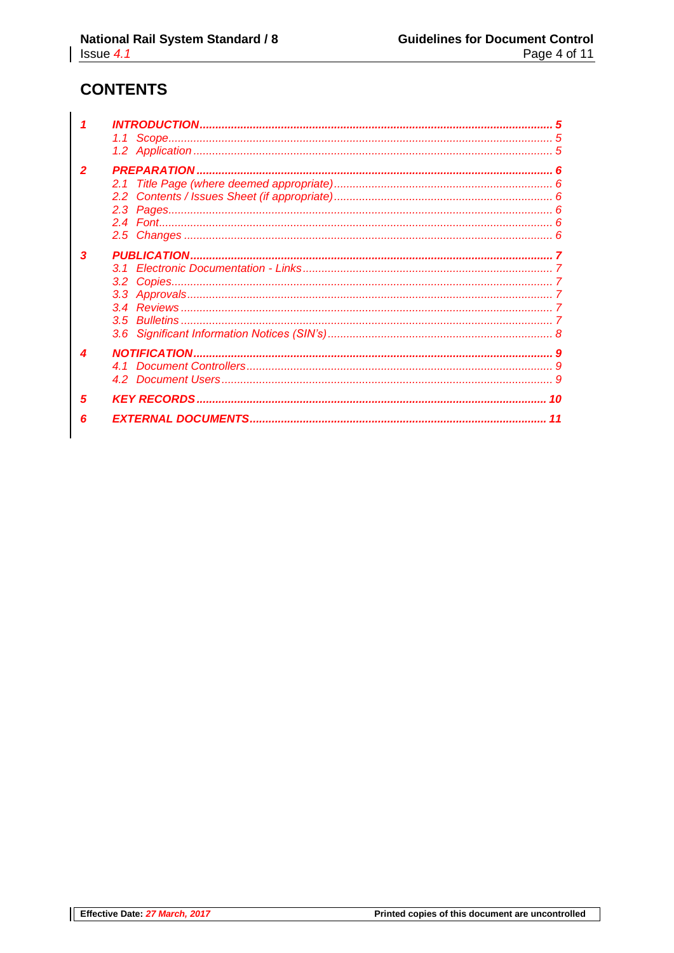# **CONTENTS**

| 5              |    | 10 |
|----------------|----|----|
|                |    |    |
|                |    |    |
|                |    |    |
|                |    |    |
|                |    |    |
|                | 31 |    |
| 3              |    |    |
|                |    |    |
|                |    |    |
|                |    |    |
|                |    |    |
| $\overline{2}$ |    |    |
|                |    |    |
|                |    |    |
|                |    |    |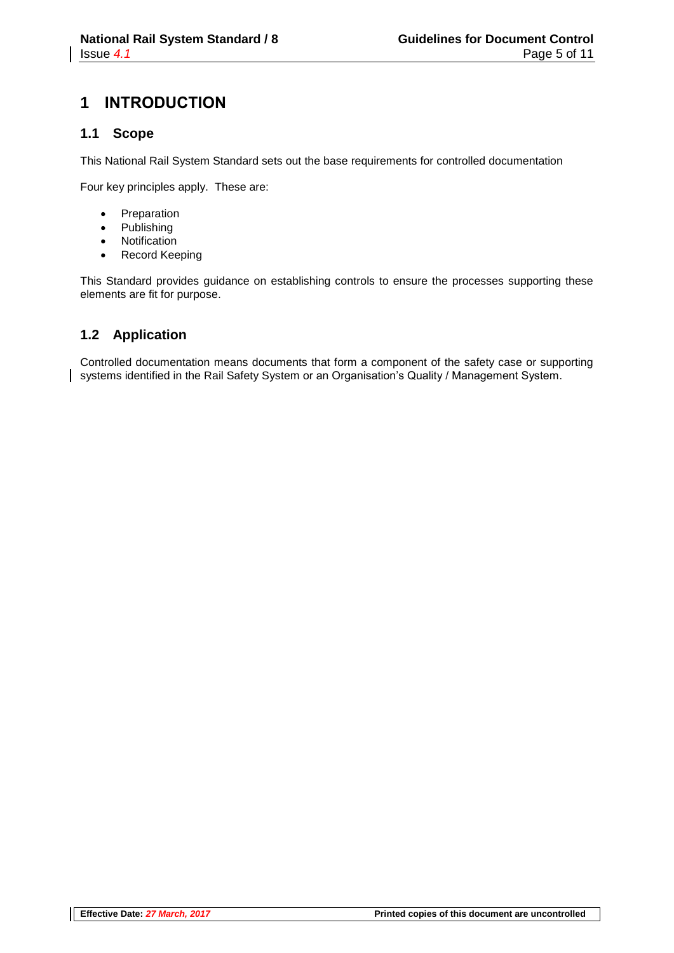# **1 INTRODUCTION**

#### **1.1 Scope**

This National Rail System Standard sets out the base requirements for controlled documentation

Four key principles apply. These are:

- Preparation
- Publishing
- Notification
- Record Keeping

This Standard provides guidance on establishing controls to ensure the processes supporting these elements are fit for purpose.

#### **1.2 Application**

Controlled documentation means documents that form a component of the safety case or supporting systems identified in the Rail Safety System or an Organisation's Quality / Management System.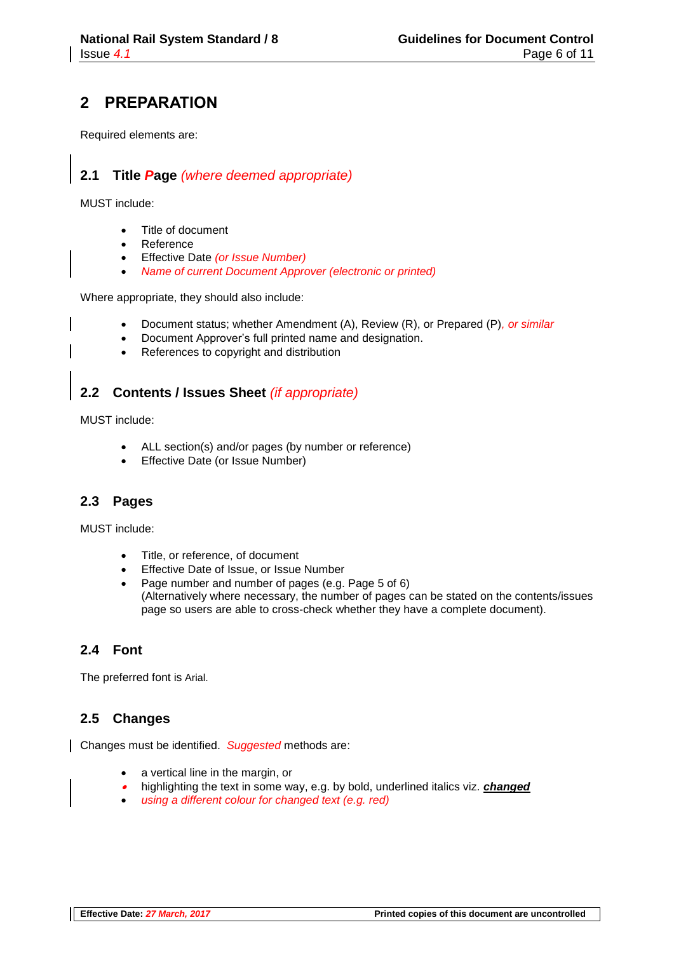# **2 PREPARATION**

Required elements are:

#### **2.1 Title** *P***age** *(where deemed appropriate)*

MUST include:

- Title of document
- Reference
- Effective Date *(or Issue Number)*
- *Name of current Document Approver (electronic or printed)*

Where appropriate, they should also include:

- Document status; whether Amendment (A), Review (R), or Prepared (P)*, or similar*
- Document Approver's full printed name and designation.
- References to copyright and distribution

#### **2.2 Contents / Issues Sheet** *(if appropriate)*

MUST include:

- ALL section(s) and/or pages (by number or reference)
- Effective Date (or Issue Number)

#### **2.3 Pages**

MUST include:

- Title, or reference, of document
- Effective Date of Issue, or Issue Number
- Page number and number of pages (e.g. Page 5 of 6) (Alternatively where necessary, the number of pages can be stated on the contents/issues page so users are able to cross-check whether they have a complete document).

#### **2.4 Font**

The preferred font is Arial.

#### **2.5 Changes**

Changes must be identified. *Suggested* methods are:

- a vertical line in the margin, or
- 0 highlighting the text in some way, e.g. by bold, underlined italics viz. *changed*
- *using a different colour for changed text (e.g. red)*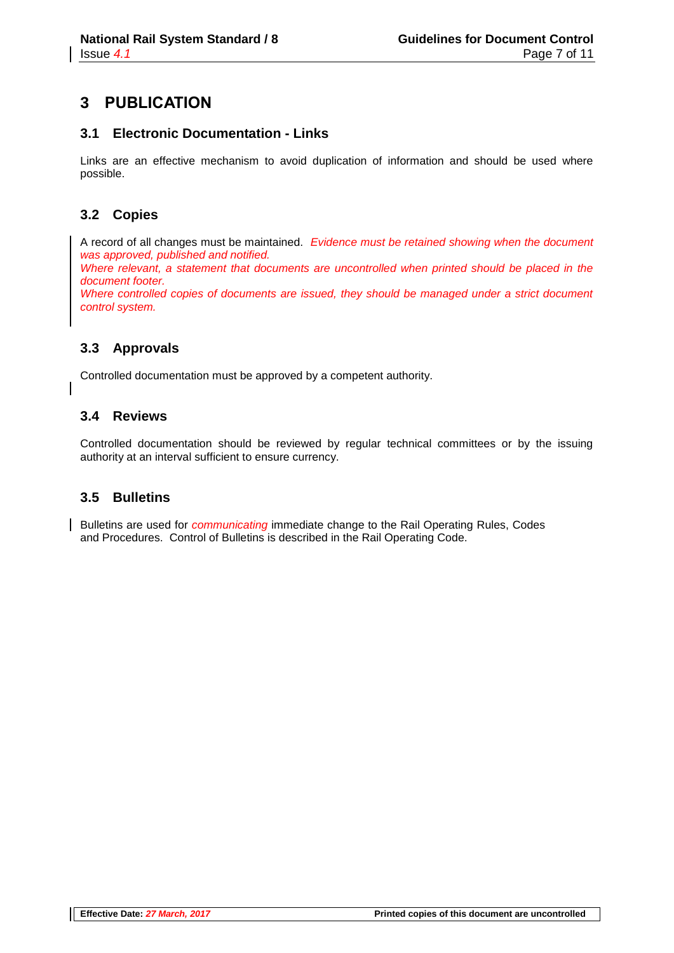# **3 PUBLICATION**

#### **3.1 Electronic Documentation - Links**

Links are an effective mechanism to avoid duplication of information and should be used where possible.

#### **3.2 Copies**

A record of all changes must be maintained. *Evidence must be retained showing when the document was approved, published and notified.*

*Where relevant, a statement that documents are uncontrolled when printed should be placed in the document footer. Where controlled copies of documents are issued, they should be managed under a strict document control system.*

#### **3.3 Approvals**

Controlled documentation must be approved by a competent authority.

#### **3.4 Reviews**

Controlled documentation should be reviewed by regular technical committees or by the issuing authority at an interval sufficient to ensure currency.

#### **3.5 Bulletins**

Bulletins are used for *communicating* immediate change to the Rail Operating Rules, Codes and Procedures. Control of Bulletins is described in the Rail Operating Code.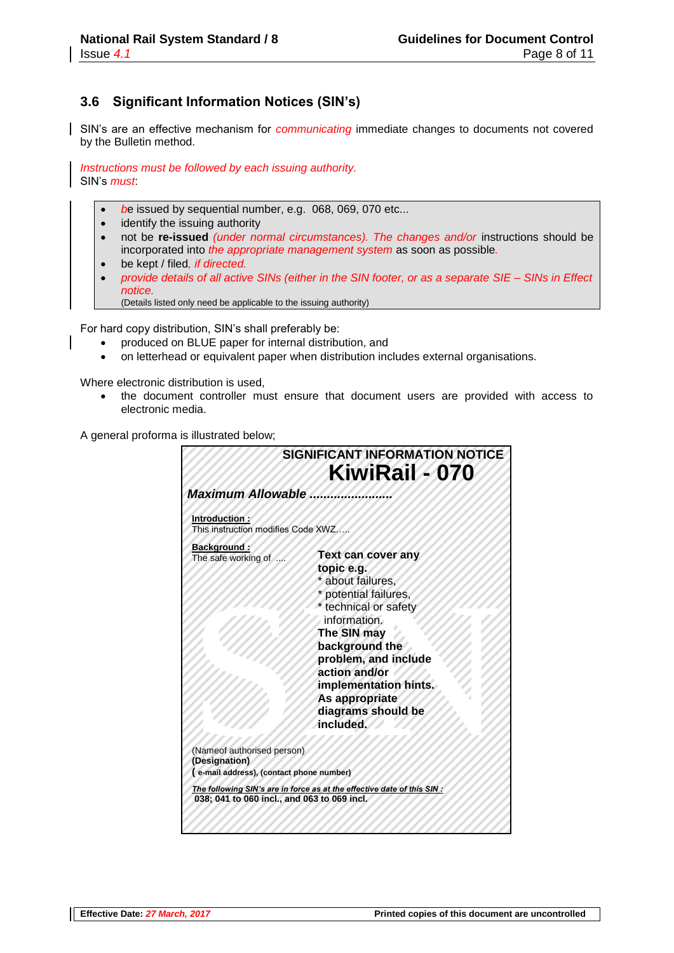#### **3.6 Significant Information Notices (SIN's)**

SIN's are an effective mechanism for *communicating* immediate changes to documents not covered by the Bulletin method.

*Instructions must be followed by each issuing authority.* SIN's *must*:

- *b*e issued by sequential number, e.g. 068, 069, 070 etc...
- identify the issuing authority
- not be **re-issued** *(under normal circumstances). The changes and/or* instructions should be incorporated into *the appropriate management system* as soon as possible*.*
- be kept / filed*, if directed.*
- *provide details of all active SINs (either in the SIN footer, or as a separate SIE – SINs in Effect notice.*
	- (Details listed only need be applicable to the issuing authority)

For hard copy distribution, SIN's shall preferably be:

- produced on BLUE paper for internal distribution, and
- on letterhead or equivalent paper when distribution includes external organisations.

Where electronic distribution is used.

 the document controller must ensure that document users are provided with access to electronic media.

A general proforma is illustrated below;

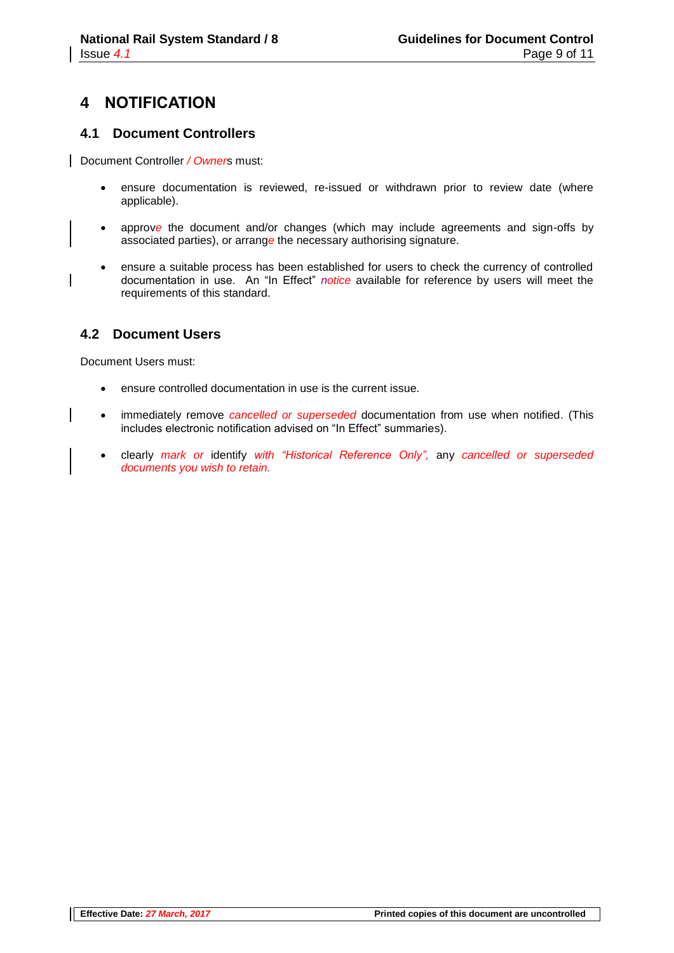# **4 NOTIFICATION**

#### **4.1 Document Controllers**

Document Controller */ Owner*s must:

- ensure documentation is reviewed, re-issued or withdrawn prior to review date (where applicable).
- approv*e* the document and/or changes (which may include agreements and sign-offs by associated parties), or arrang*e* the necessary authorising signature.
- ensure a suitable process has been established for users to check the currency of controlled documentation in use. An "In Effect" *notice* available for reference by users will meet the requirements of this standard.

#### **4.2 Document Users**

Document Users must:

- ensure controlled documentation in use is the current issue.
- immediately remove *cancelled or superseded* documentation from use when notified. (This includes electronic notification advised on "In Effect" summaries).
- clearly *mark or* identify *with "Historical Reference Only",* any *cancelled or superseded documents you wish to retain.*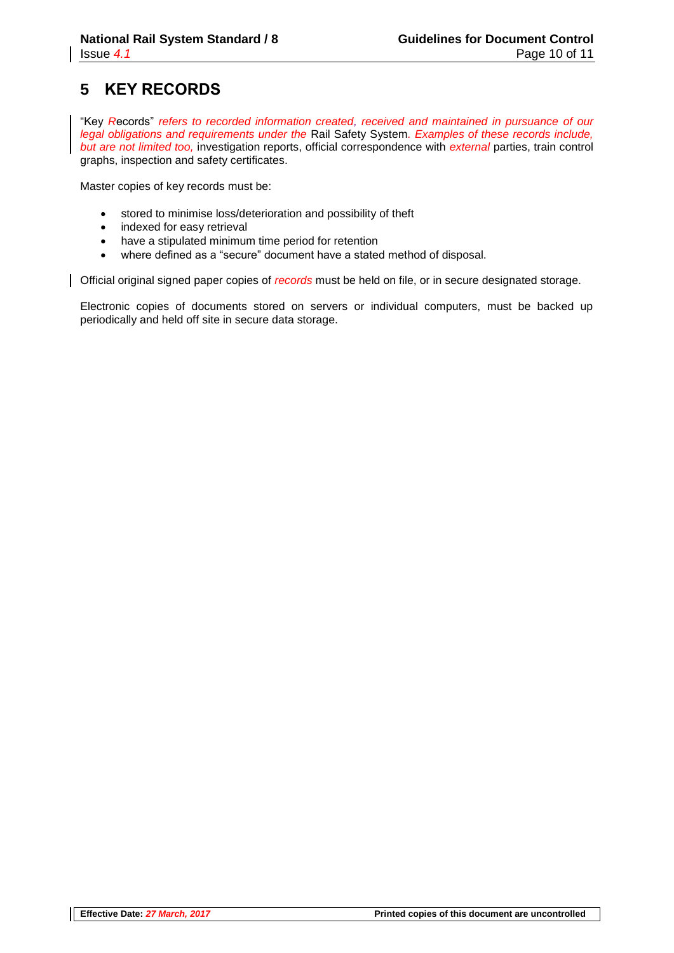# **5 KEY RECORDS**

"Key *R*ecords" *refers to recorded information created, received and maintained in pursuance of our legal obligations and requirements under the* Rail Safety System*. Examples of these records include, but are not limited too,* investigation reports, official correspondence with *external* parties, train control graphs, inspection and safety certificates.

Master copies of key records must be:

- stored to minimise loss/deterioration and possibility of theft
- indexed for easy retrieval
- have a stipulated minimum time period for retention
- where defined as a "secure" document have a stated method of disposal.

Official original signed paper copies of *records* must be held on file, or in secure designated storage.

Electronic copies of documents stored on servers or individual computers, must be backed up periodically and held off site in secure data storage.